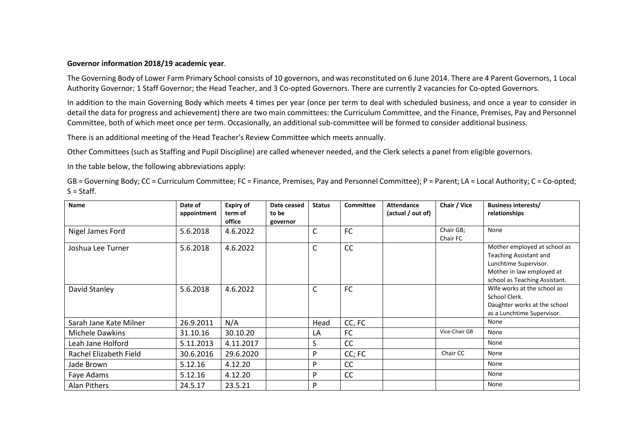## **Governor information 2018/19 academic year**.

The Governing Body of Lower Farm Primary School consists of 10 governors, and was reconstituted on 6 June 2014. There are 4 Parent Governors, 1 Local Authority Governor; 1 Staff Governor; the Head Teacher, and 3 Co-opted Governors. There are currently 2 vacancies for Co-opted Governors.

In addition to the main Governing Body which meets 4 times per year (once per term to deal with scheduled business, and once a year to consider in detail the data for progress and achievement) there are two main committees: the Curriculum Committee, and the Finance, Premises, Pay and Personnel Committee, both of which meet once per term. Occasionally, an additional sub-committee will be formed to consider additional business.

There is an additional meeting of the Head Teacher's Review Committee which meets annually.

Other Committees (such as Staffing and Pupil Discipline) are called whenever needed, and the Clerk selects a panel from eligible governors.

In the table below, the following abbreviations apply:

GB = Governing Body; CC = Curriculum Committee; FC = Finance, Premises, Pay and Personnel Committee); P = Parent; LA = Local Authority; C = Co-opted;  $S = \text{Staff.}$ 

| Name                   | Date of<br>appointment | <b>Expiry of</b><br>term of<br>office | Date ceased<br>to be<br>governor | <b>Status</b> | <b>Committee</b> | <b>Attendance</b><br>(actual / out of) | Chair / Vice          | <b>Business interests/</b><br>relationships                                                                                                   |
|------------------------|------------------------|---------------------------------------|----------------------------------|---------------|------------------|----------------------------------------|-----------------------|-----------------------------------------------------------------------------------------------------------------------------------------------|
| Nigel James Ford       | 5.6.2018               | 4.6.2022                              |                                  | C             | <b>FC</b>        |                                        | Chair GB;<br>Chair FC | None                                                                                                                                          |
| Joshua Lee Turner      | 5.6.2018               | 4.6.2022                              |                                  | $\mathsf C$   | CC               |                                        |                       | Mother employed at school as<br>Teaching Assistant and<br>Lunchtime Supervisor.<br>Mother in law employed at<br>school as Teaching Assistant. |
| David Stanley          | 5.6.2018               | 4.6.2022                              |                                  | C             | FC               |                                        |                       | Wife works at the school as<br>School Clerk.<br>Daughter works at the school<br>as a Lunchtime Supervisor.                                    |
| Sarah Jane Kate Milner | 26.9.2011              | N/A                                   |                                  | Head          | CC, FC           |                                        |                       | None                                                                                                                                          |
| Michele Dawkins        | 31.10.16               | 30.10.20                              |                                  | LA            | FC               |                                        | Vice-Chair GB         | None                                                                                                                                          |
| Leah Jane Holford      | 5.11.2013              | 4.11.2017                             |                                  | S             | CC               |                                        |                       | None                                                                                                                                          |
| Rachel Elizabeth Field | 30.6.2016              | 29.6.2020                             |                                  | P             | CC; FC           |                                        | Chair CC              | None                                                                                                                                          |
| Jade Brown             | 5.12.16                | 4.12.20                               |                                  | P             | CC               |                                        |                       | None                                                                                                                                          |
| Faye Adams             | 5.12.16                | 4.12.20                               |                                  | P             | CC               |                                        |                       | None                                                                                                                                          |
| Alan Pithers           | 24.5.17                | 23.5.21                               |                                  | P             |                  |                                        |                       | None                                                                                                                                          |